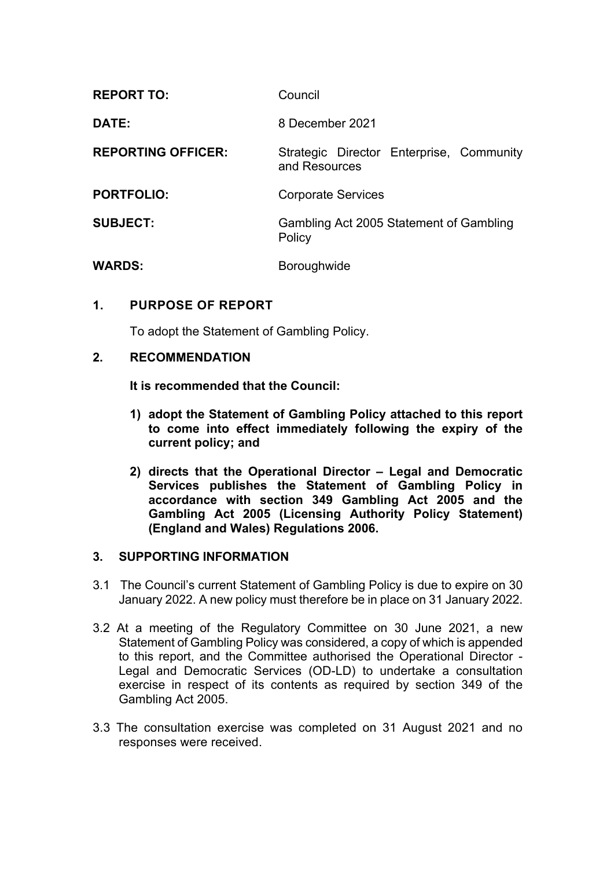| <b>REPORT TO:</b>         | Council                                                   |
|---------------------------|-----------------------------------------------------------|
| DATE:                     | 8 December 2021                                           |
| <b>REPORTING OFFICER:</b> | Strategic Director Enterprise, Community<br>and Resources |
| <b>PORTFOLIO:</b>         | <b>Corporate Services</b>                                 |
| <b>SUBJECT:</b>           | Gambling Act 2005 Statement of Gambling<br>Policy         |
| <b>WARDS:</b>             | <b>Boroughwide</b>                                        |

## **1. PURPOSE OF REPORT**

To adopt the Statement of Gambling Policy.

#### **2. RECOMMENDATION**

**It is recommended that the Council:**

- **1) adopt the Statement of Gambling Policy attached to this report to come into effect immediately following the expiry of the current policy; and**
- **2) directs that the Operational Director – Legal and Democratic Services publishes the Statement of Gambling Policy in accordance with section 349 Gambling Act 2005 and the Gambling Act 2005 (Licensing Authority Policy Statement) (England and Wales) Regulations 2006.**

#### **3. SUPPORTING INFORMATION**

- 3.1 The Council's current Statement of Gambling Policy is due to expire on 30 January 2022. A new policy must therefore be in place on 31 January 2022.
- 3.2 At a meeting of the Regulatory Committee on 30 June 2021, a new Statement of Gambling Policy was considered, a copy of which is appended to this report, and the Committee authorised the Operational Director - Legal and Democratic Services (OD-LD) to undertake a consultation exercise in respect of its contents as required by section 349 of the Gambling Act 2005.
- 3.3 The consultation exercise was completed on 31 August 2021 and no responses were received.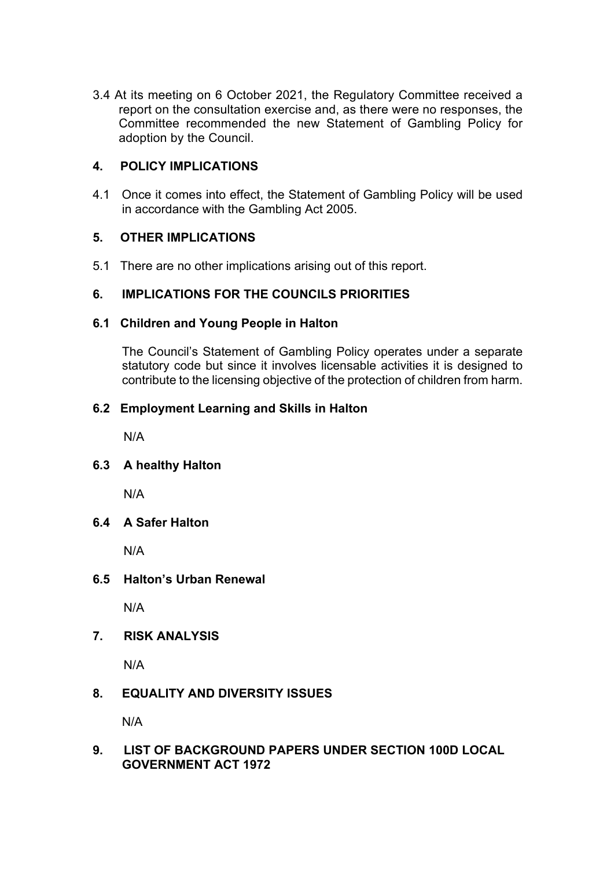3.4 At its meeting on 6 October 2021, the Regulatory Committee received a report on the consultation exercise and, as there were no responses, the Committee recommended the new Statement of Gambling Policy for adoption by the Council.

## **4. POLICY IMPLICATIONS**

4.1 Once it comes into effect, the Statement of Gambling Policy will be used in accordance with the Gambling Act 2005.

## **5. OTHER IMPLICATIONS**

5.1 There are no other implications arising out of this report.

# **6. IMPLICATIONS FOR THE COUNCILS PRIORITIES**

#### **6.1 Children and Young People in Halton**

The Council's Statement of Gambling Policy operates under a separate statutory code but since it involves licensable activities it is designed to contribute to the licensing objective of the protection of children from harm.

## **6.2 Employment Learning and Skills in Halton**

N/A

# **6.3 A healthy Halton**

N/A

#### **6.4 A Safer Halton**

N/A

#### **6.5 Halton's Urban Renewal**

N/A

**7. RISK ANALYSIS**

N/A

# **8. EQUALITY AND DIVERSITY ISSUES**

N/A

## **9. LIST OF BACKGROUND PAPERS UNDER SECTION 100D LOCAL GOVERNMENT ACT 1972**